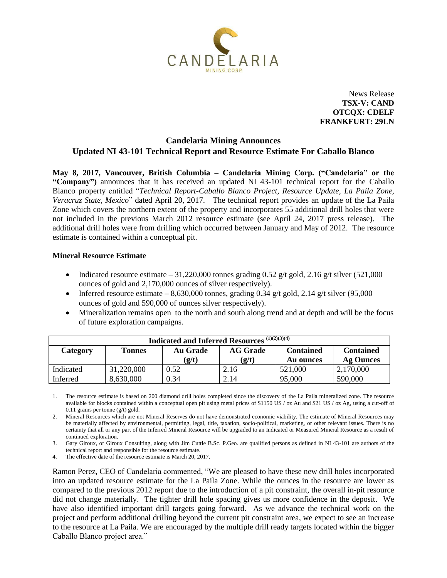

News Release **TSX-V: CAND OTCQX: CDELF FRANKFURT: 29LN**

# **Candelaria Mining Announces Updated NI 43-101 Technical Report and Resource Estimate For Caballo Blanco**

**May 8, 2017, Vancouver, British Columbia – Candelaria Mining Corp. ("Candelaria" or the "Company")** announces that it has received an updated NI 43-101 technical report for the Caballo Blanco property entitled "*Technical Report-Caballo Blanco Project, Resource Update, La Paila Zone, Veracruz State, Mexico*" dated April 20, 2017. The technical report provides an update of the La Paila Zone which covers the northern extent of the property and incorporates 55 additional drill holes that were not included in the previous March 2012 resource estimate (see April 24, 2017 press release). The additional drill holes were from drilling which occurred between January and May of 2012. The resource estimate is contained within a conceptual pit.

## **Mineral Resource Estimate**

- Indicated resource estimate 31,220,000 tonnes grading 0.52 g/t gold, 2.16 g/t silver (521,000) ounces of gold and 2,170,000 ounces of silver respectively).
- Inferred resource estimate 8,630,000 tonnes, grading 0.34 g/t gold, 2.14 g/t silver (95,000) ounces of gold and 590,000 of ounces silver respectively).
- Mineralization remains open to the north and south along trend and at depth and will be the focus of future exploration campaigns.

| (1)(2)(3)(4)<br><b>Indicated and Inferred Resources</b> |               |                 |                 |                  |                  |
|---------------------------------------------------------|---------------|-----------------|-----------------|------------------|------------------|
| Category                                                | <b>Tonnes</b> | <b>Au Grade</b> | <b>AG Grade</b> | <b>Contained</b> | <b>Contained</b> |
|                                                         |               | (g/t)           | (g/t)           | Au ounces        | <b>Ag Ounces</b> |
| Indicated                                               | 31,220,000    | 0.52            | 2.16            | 521,000          | 2,170,000        |
| Inferred                                                | 8,630,000     | 0.34            | 2.14            | 95,000           | 590,000          |

- 1. The resource estimate is based on 200 diamond drill holes completed since the discovery of the La Paila mineralized zone. The resource available for blocks contained within a conceptual open pit using metal prices of \$1150 US / oz Au and \$21 US / oz Ag, using a cut-off of 0.11 grams per tonne (g/t) gold.
- 2. Mineral Resources which are not Mineral Reserves do not have demonstrated economic viability. The estimate of Mineral Resources may be materially affected by environmental, permitting, legal, title, taxation, socio-political, marketing, or other relevant issues. There is no certainty that all or any part of the Inferred Mineral Resource will be upgraded to an Indicated or Measured Mineral Resource as a result of continued exploration.
- 3. Gary Giroux, of Giroux Consulting, along with Jim Cuttle B.Sc. P.Geo. are qualified persons as defined in NI 43-101 are authors of the technical report and responsible for the resource estimate.
- 4. The effective date of the resource estimate is March 20, 2017.

Ramon Perez, CEO of Candelaria commented, "We are pleased to have these new drill holes incorporated into an updated resource estimate for the La Paila Zone. While the ounces in the resource are lower as compared to the previous 2012 report due to the introduction of a pit constraint, the overall in-pit resource did not change materially. The tighter drill hole spacing gives us more confidence in the deposit. We have also identified important drill targets going forward. As we advance the technical work on the project and perform additional drilling beyond the current pit constraint area, we expect to see an increase to the resource at La Paila. We are encouraged by the multiple drill ready targets located within the bigger Caballo Blanco project area."